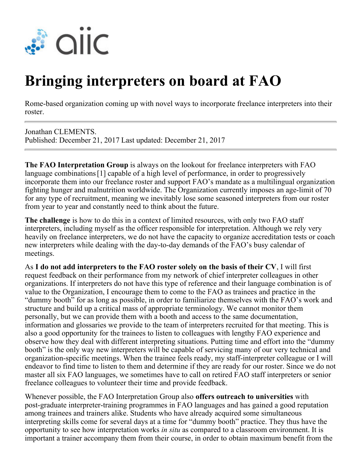

## **Bringing interpreters on board at FAO**

Rome-based organization coming up with novel ways to incorporate freelance interpreters into their roster.

Jonathan CLEMENTS. Published: December 21, 2017 Last updated: December 21, 2017

**The FAO Interpretation Group** is always on the lookout for freelance interpreters with FAO language combinations[1] capable of a high level of performance, in order to progressively incorporate them into our freelance roster and support FAO's mandate as a multilingual organization fighting hunger and malnutrition worldwide. The Organization currently imposes an age-limit of 70 for any type of recruitment, meaning we inevitably lose some seasoned interpreters from our roster from year to year and constantly need to think about the future.

**The challenge** is how to do this in a context of limited resources, with only two FAO staff interpreters, including myself as the officer responsible for interpretation. Although we rely very heavily on freelance interpreters, we do not have the capacity to organize accreditation tests or coach new interpreters while dealing with the day-to-day demands of the FAO's busy calendar of meetings.

As **I do not add interpreters to the FAO roster solely on the basis of their CV**, I will first request feedback on their performance from my network of chief interpreter colleagues in other organizations. If interpreters do not have this type of reference and their language combination is of value to the Organization, I encourage them to come to the FAO as trainees and practice in the "dummy booth" for as long as possible, in order to familiarize themselves with the FAO's work and structure and build up a critical mass of appropriate terminology. We cannot monitor them personally, but we can provide them with a booth and access to the same documentation, information and glossaries we provide to the team of interpreters recruited for that meeting. This is also a good opportunity for the trainees to listen to colleagues with lengthy FAO experience and observe how they deal with different interpreting situations. Putting time and effort into the "dummy booth" is the only way new interpreters will be capable of servicing many of our very technical and organization-specific meetings. When the trainee feels ready, my staff-interpreter colleague or I will endeavor to find time to listen to them and determine if they are ready for our roster. Since we do not master all six FAO languages, we sometimes have to call on retired FAO staff interpreters or senior freelance colleagues to volunteer their time and provide feedback.

Whenever possible, the FAO Interpretation Group also **offers outreach to universities** with post-graduate interpreter-training programmes in FAO languages and has gained a good reputation among trainees and trainers alike. Students who have already acquired some simultaneous interpreting skills come for several days at a time for "dummy booth" practice. They thus have the opportunity to see how interpretation works *in situ* as compared to a classroom environment. It is important a trainer accompany them from their course, in order to obtain maximum benefit from the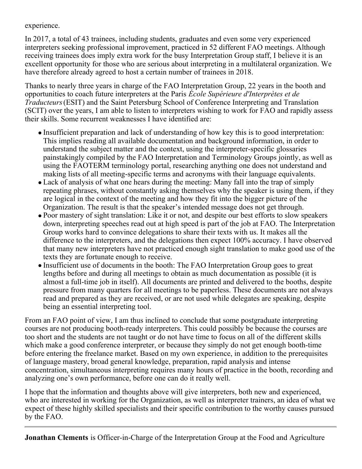experience.

In 2017, a total of 43 trainees, including students, graduates and even some very experienced interpreters seeking professional improvement, practiced in 52 different FAO meetings. Although receiving trainees does imply extra work for the busy Interpretation Group staff, I believe it is an excellent opportunity for those who are serious about interpreting in a multilateral organization. We have therefore already agreed to host a certain number of trainees in 2018.

Thanks to nearly three years in charge of the FAO Interpretation Group, 22 years in the booth and opportunities to coach future interpreters at the Paris *École Supérieure d'Interprètes et de Traducteurs* (ESIT) and the Saint Petersburg School of Conference Interpreting and Translation (SCIT) over the years, I am able to listen to interpreters wishing to work for FAO and rapidly assess their skills. Some recurrent weaknesses I have identified are:

- Insufficient preparation and lack of understanding of how key this is to good interpretation: This implies reading all available documentation and background information, in order to understand the subject matter and the context, using the interpreter-specific glossaries painstakingly compiled by the FAO Interpretation and Terminology Groups jointly, as well as using the FAOTERM terminology portal, researching anything one does not understand and making lists of all meeting-specific terms and acronyms with their language equivalents.
- Lack of analysis of what one hears during the meeting: Many fall into the trap of simply repeating phrases, without constantly asking themselves why the speaker is using them, if they are logical in the context of the meeting and how they fit into the bigger picture of the Organization. The result is that the speaker's intended message does not get through.
- Poor mastery of sight translation: Like it or not, and despite our best efforts to slow speakers down, interpreting speeches read out at high speed is part of the job at FAO. The Interpretation Group works hard to convince delegations to share their texts with us. It makes all the difference to the interpreters, and the delegations then expect 100% accuracy. I have observed that many new interpreters have not practiced enough sight translation to make good use of the texts they are fortunate enough to receive.
- Insufficient use of documents in the booth: The FAO Interpretation Group goes to great lengths before and during all meetings to obtain as much documentation as possible (it is almost a full-time job in itself). All documents are printed and delivered to the booths, despite pressure from many quarters for all meetings to be paperless. These documents are not always read and prepared as they are received, or are not used while delegates are speaking, despite being an essential interpreting tool.

From an FAO point of view, I am thus inclined to conclude that some postgraduate interpreting courses are not producing booth-ready interpreters. This could possibly be because the courses are too short and the students are not taught or do not have time to focus on all of the different skills which make a good conference interpreter, or because they simply do not get enough booth-time before entering the freelance market. Based on my own experience, in addition to the prerequisites of language mastery, broad general knowledge, preparation, rapid analysis and intense concentration, simultaneous interpreting requires many hours of practice in the booth, recording and analyzing one's own performance, before one can do it really well.

I hope that the information and thoughts above will give interpreters, both new and experienced, who are interested in working for the Organization, as well as interpreter trainers, an idea of what we expect of these highly skilled specialists and their specific contribution to the worthy causes pursued by the FAO.